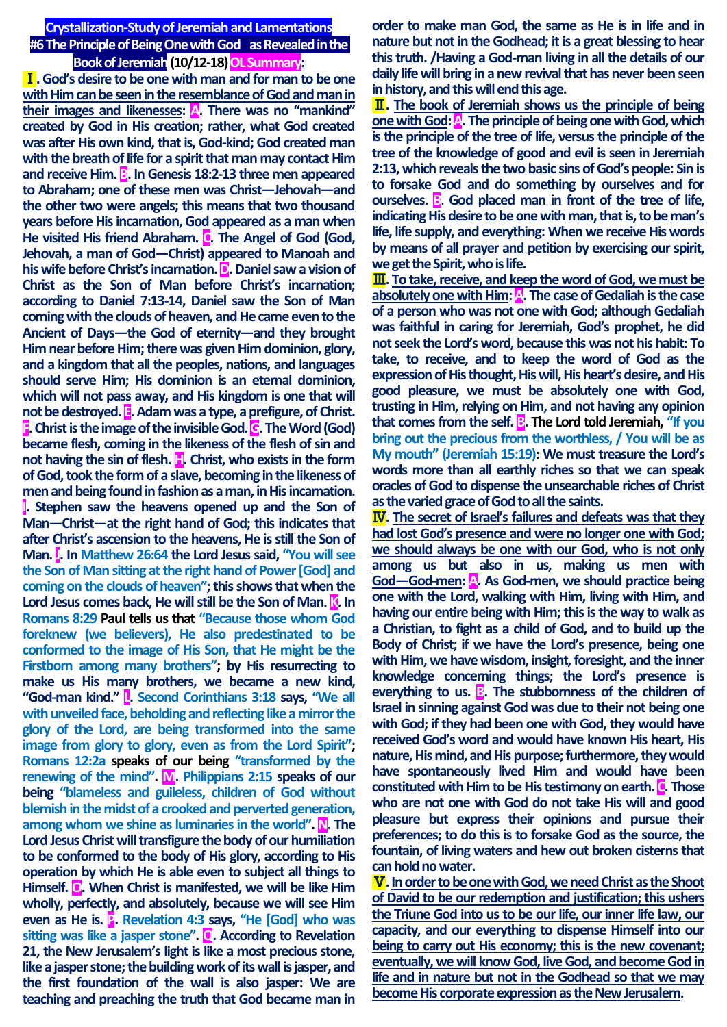**Crystallization-Study of Jeremiah and Lamentations #6 The Principle of Being One with God as Revealed in the Book of Jeremiah (10/12-18) OL Summary:** 

Ⅰ**. God's desire to be one with man and for man to be one with Him can be seen in the resemblance of God and man in their images and likenesses: A. There was no "mankind" created by God in His creation; rather, what God created was after His own kind, that is, God-kind; God created man with the breath of life for a spirit that man may contact Him**  and receive Him. **B**. In Genesis 18:2-13 three men appeared **to Abraham; one of these men was Christ—Jehovah—and the other two were angels; this means that two thousand years before His incarnation, God appeared as a man when**  He visited His friend Abraham. **C**. The Angel of God (God, **Jehovah, a man of God—Christ) appeared to Manoah and his wife before Christ's incarnation. D. Daniel saw a vision of Christ as the Son of Man before Christ's incarnation; according to Daniel 7:13-14, Daniel saw the Son of Man coming with the clouds of heaven, and He came even to the Ancient of Days—the God of eternity—and they brought Him near before Him; there was given Him dominion, glory, and a kingdom that all the peoples, nations, and languages should serve Him; His dominion is an eternal dominion, which will not pass away, and His kingdom is one that will not be destroyed. E. Adam was a type, a prefigure, of Christ. F. Christ is the image of the invisible God. G. The Word (God) became flesh, coming in the likeness of the flesh of sin and not having the sin of flesh. H.** Christ, who exists in the form **of God, took the form of a slave, becoming in the likeness of men and being found in fashion as a man, in His incarnation. I. Stephen saw the heavens opened up and the Son of Man—Christ—at the right hand of God; this indicates that after Christ's ascension to the heavens, He is still the Son of Man. J. In Matthew 26:64 the Lord Jesus said, "You will see the Son of Man sitting at the right hand of Power [God] and coming on the clouds of heaven"; this shows that when the**  Lord Jesus comes back, He will still be the Son of Man. **K**. In **Romans 8:29 Paul tells us that "Because those whom God foreknew (we believers), He also predestinated to be conformed to the image of His Son, that He might be the Firstborn among many brothers"; by His resurrecting to make us His many brothers, we became a new kind, "God-man kind." L. Second Corinthians 3:18 says, "We all with unveiled face, beholding and reflecting like a mirror the glory of the Lord, are being transformed into the same image from glory to glory, even as from the Lord Spirit"; Romans 12:2a speaks of our being "transformed by the renewing of the mind". M. Philippians 2:15 speaks of our being "blameless and guileless, children of God without blemish in the midst of a crooked and perverted generation, among whom we shine as luminaries in the world". N. The Lord Jesus Christ will transfigure the body of our humiliation to be conformed to the body of His glory, according to His operation by which He is able even to subject all things to Himself. O. When Christ is manifested, we will be like Him wholly, perfectly, and absolutely, because we will see Him even as He is. P. Revelation 4:3 says, "He [God] who was sitting was like a jasper stone". Q. According to Revelation 21, the New Jerusalem's light is like a most precious stone, like a jasper stone; the building work of its wall is jasper, and the first foundation of the wall is also jasper: We are teaching and preaching the truth that God became man in**  **order to make man God, the same as He is in life and in nature but not in the Godhead; it is a great blessing to hear this truth. /Having a God-man living in all the details of our daily life will bring in a new revival that has never been seen in history, and this will end this age.**

Ⅱ**. The book of Jeremiah shows us the principle of being onewith God: A. The principle of being one with God, which is the principle of the tree of life, versus the principle of the tree of the knowledge of good and evil is seen in Jeremiah 2:13, which reveals the two basic sins of God's people: Sin is to forsake God and do something by ourselves and for ourselves. B**. God placed man in front of the tree of life, **indicating His desire to be one with man, that is, to be man's life, life supply, and everything: When we receive His words by means of all prayer and petition by exercising our spirit, we get the Spirit, who is life.**

Ⅲ**. To take, receive, and keep the word of God, we must be absolutely one with Him: A. The case of Gedaliah is the case of a person who was not one with God; although Gedaliah was faithful in caring for Jeremiah, God's prophet, he did not seek the Lord's word, because this was not his habit: To take, to receive, and to keep the word of God as the expression of His thought, His will, His heart's desire, and His good pleasure, we must be absolutely one with God, trusting in Him, relying on Him, and not having any opinion that comes from the self. B. The Lord told Jeremiah, "If you bring out the precious from the worthless, / You will be as My mouth" (Jeremiah 15:19): We must treasure the Lord's words more than all earthly riches so that we can speak oracles of God to dispense the unsearchable riches of Christ as the varied grace of God to all the saints.**

Ⅳ**. The secret of Israel's failures and defeats was that they had lost God's presence and were no longer one with God; we should always be one with our God, who is not only among us but also in us, making us men with God—God-men: A. As God-men, we should practice being one with the Lord, walking with Him, living with Him, and having our entire being with Him; this is the way to walk as a Christian, to fight as a child of God, and to build up the Body of Christ; if we have the Lord's presence, being one with Him, we have wisdom, insight, foresight, and the inner knowledge concerning things; the Lord's presence is everything to us. B. The stubbornness of the children of Israel in sinning against God was due to their not being one with God; if they had been one with God, they would have received God's word and would have known His heart, His nature, His mind, and His purpose; furthermore, they would have spontaneously lived Him and would have been constituted with Him to be His testimony on earth. C. Those who are not one with God do not take His will and good pleasure but express their opinions and pursue their preferences; to do this is to forsake God as the source, the fountain, of living waters and hew out broken cisterns that can hold no water.**

Ⅴ**. In order to be one with God, we need Christ as the Shoot of David to be our redemption and justification; this ushers the Triune God into us to be our life, our inner life law, our capacity, and our everything to dispense Himself into our being to carry out His economy; this is the new covenant; eventually, we will know God, live God, and become God in life and in nature but not in the Godhead so that we may become His corporate expression as the New Jerusalem.**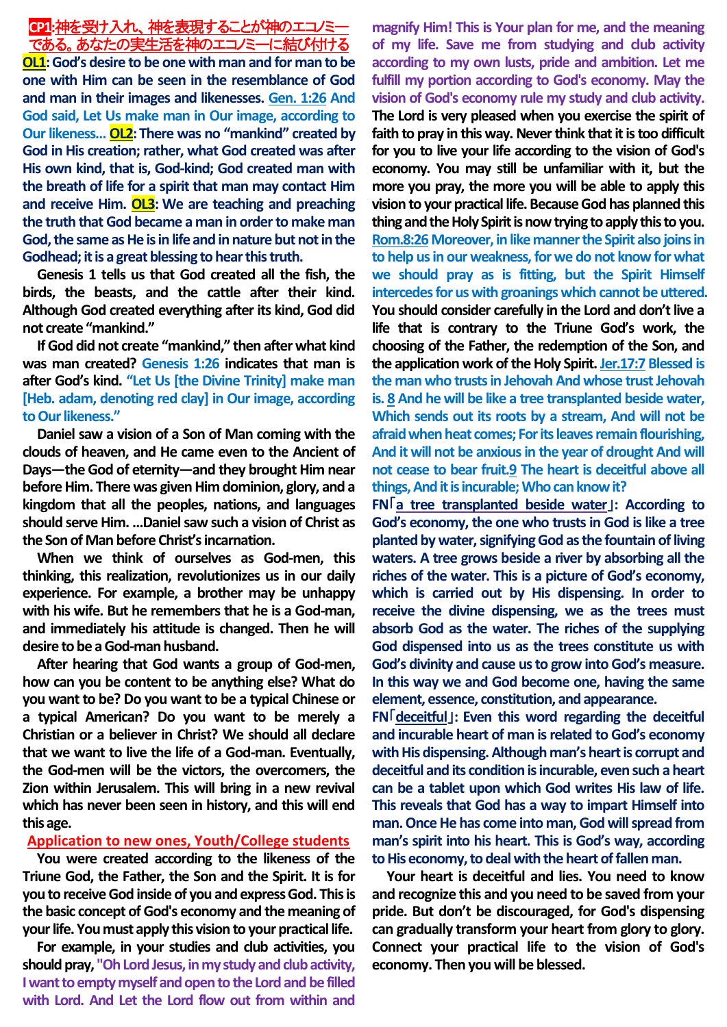# **CP1:**神を受け入れ、神を表現することが神のエコノミー である。あなたの実生活を神のエコノミーに結び付ける

**OL1:God's desire to be one with man and for man to be one with Him can be seen in the resemblance of God and man in their images and likenesses. Gen. 1:26 And God said, Let Us make man in Our image, according to Our likeness… OL2:There was no "mankind" created by God in His creation; rather, what God created was after His own kind, that is, God-kind; God created man with the breath of life for a spirit that man may contact Him and receive Him. OL3: We are teaching and preaching the truth that God became a man in order to make man God, the same as He is in life and in nature but not in the Godhead; it is a great blessing to hear this truth.**

**Genesis 1 tells us that God created all the fish, the birds, the beasts, and the cattle after their kind. Although God created everything after its kind, God did not create "mankind."**

**If God did not create "mankind," then after what kind was man created? Genesis 1:26 indicates that man is after God's kind. "Let Us [the Divine Trinity] make man [Heb. adam, denoting red clay] in Our image, according to Our likeness."**

**Daniel saw a vision of a Son of Man coming with the clouds of heaven, and He came even to the Ancient of Days—the God of eternity—and they brought Him near before Him. There was given Him dominion, glory, and a kingdom that all the peoples, nations, and languages should serve Him. …Daniel saw such a vision of Christ as the Son of Man before Christ's incarnation.**

**When we think of ourselves as God-men, this thinking, this realization, revolutionizes us in our daily experience. For example, a brother may be unhappy with his wife. But he remembers that he is a God-man, and immediately his attitude is changed. Then he will desire to be a God-man husband.**

**After hearing that God wants a group of God-men, how can you be content to be anything else? What do you want to be? Do you want to be a typical Chinese or a typical American? Do you want to be merely a Christian or a believer in Christ? We should all declare that we want to live the life of a God-man. Eventually, the God-men will be the victors, the overcomers, the Zion within Jerusalem. This will bring in a new revival which has never been seen in history, and this will end this age.**

# **Application to new ones, Youth/College students**

**You were created according to the likeness of the Triune God, the Father, the Son and the Spirit. It is for you to receive God inside of you and express God. This is the basic concept of God's economy and the meaning of your life. You must apply this vision to your practical life.** 

**For example, in your studies and club activities, you should pray, "Oh Lord Jesus, in my study and club activity, I want to empty myself and open to the Lord and be filled with Lord. And Let the Lord flow out from within and** 

**magnify Him! This is Your plan for me, and the meaning of my life. Save me from studying and club activity according to my own lusts, pride and ambition. Let me fulfill my portion according to God's economy. May the vision of God's economy rule my study and club activity. The Lord is very pleased when you exercise the spirit of faith to pray in this way. Never think that it is too difficult for you to live your life according to the vision of God's economy. You may still be unfamiliar with it, but the more you pray, the more you will be able to apply this vision to your practical life. Because God has planned this thing and the Holy Spirit is now trying to apply this to you. Rom.8:26Moreover, in like manner the Spirit also joins in to help us in our weakness, for we do not know for what we should pray as is fitting, but the Spirit Himself intercedes for us with groanings which cannot be uttered. You should consider carefully in the Lord and don't live a life that is contrary to the Triune God's work, the choosing of the Father, the redemption of the Son, and the application work of the Holy Spirit. Jer.17:7 Blessed is the man who trusts in Jehovah And whose trust Jehovah is. 8 And he will be like a tree transplanted beside water, Which sends out its roots by a stream, And will not be afraid when heat comes; For its leaves remain flourishing, And it will not be anxious in the year of drought And will not cease to bear fruit.9 The heart is deceitful above all things, And it is incurable; Who can know it?**

**FN**「**a tree transplanted beside water**」**: According to God's economy, the one who trusts in God is like a tree planted by water, signifying God as the fountain of living waters. A tree grows beside a river by absorbing all the riches of the water. This is a picture of God's economy, which is carried out by His dispensing. In order to receive the divine dispensing, we as the trees must absorb God as the water. The riches of the supplying God dispensed into us as the trees constitute us with God's divinity and cause us to grow into God's measure. In this way we and God become one, having the same element, essence, constitution, and appearance.**

**FN**「**deceitful**」**: Even this word regarding the deceitful and incurable heart of man is related to God's economy with His dispensing. Although man's heart is corrupt and deceitful and its condition is incurable, even such a heart can be a tablet upon which God writes His law of life. This reveals that God has a way to impart Himself into man. Once He has come into man, God will spread from man's spirit into his heart. This is God's way, according to His economy, to deal with the heart of fallen man.**

**Your heart is deceitful and lies. You need to know and recognize this and you need to be saved from your pride. But don't be discouraged, for God's dispensing can gradually transform your heart from glory to glory. Connect your practical life to the vision of God's economy. Then you will be blessed.**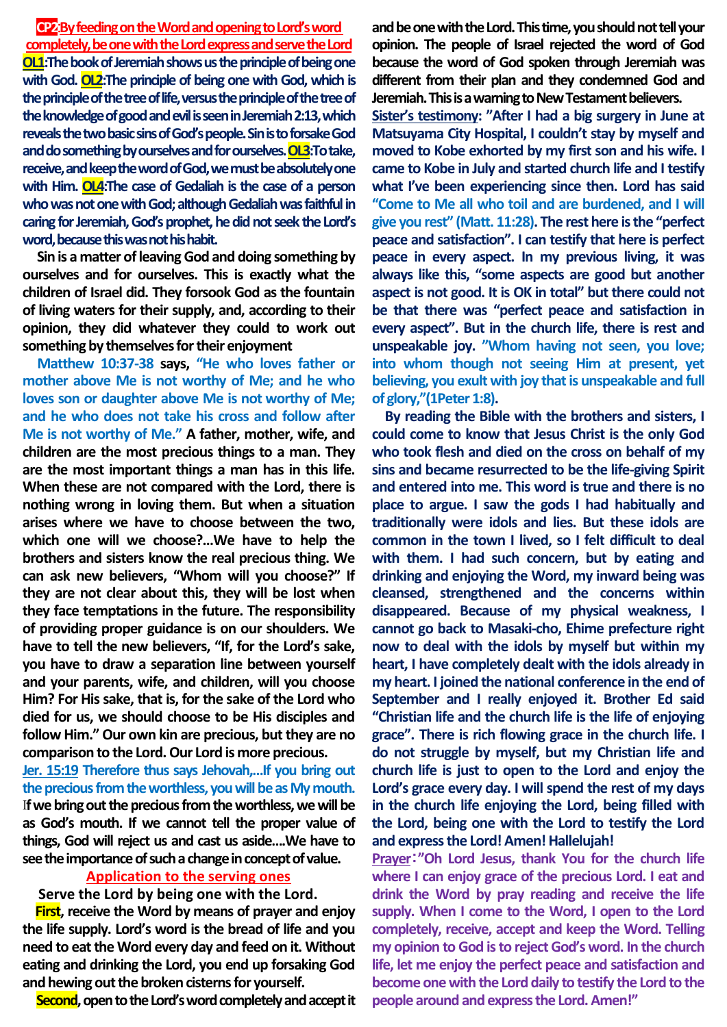**CP2**:**By feeding on the Word and opening to Lord's word completely, beone with the Lord express and serve the Lord OL1:The book of Jeremiah shows us the principle of being one**  with God. OL2: The principle of being one with God, which is **the principle of the tree of life, versus the principle of the tree of the knowledge of good and evil is seen in Jeremiah 2:13, which reveals the two basic sins of God's people. Sin is to forsake God and do something by ourselves and for ourselves. OL3:To take, receive, and keep the word of God, we must be absolutely one with Him. OL4:The case of Gedaliah is the case of a person who was not one with God; although Gedaliah was faithful in caring for Jeremiah, God's prophet, he did not seek the Lord's word, because this was not his habit.**

**Sin is a matter of leaving God and doing something by ourselves and for ourselves. This is exactly what the children of Israel did. They forsook God as the fountain of living waters for their supply, and, according to their opinion, they did whatever they could to work out something by themselves for their enjoyment** 

**Matthew 10:37-38 says, "He who loves father or mother above Me is not worthy of Me; and he who loves son or daughter above Me is not worthy of Me; and he who does not take his cross and follow after Me is not worthy of Me." A father, mother, wife, and children are the most precious things to a man. They are the most important things a man has in this life. When these are not compared with the Lord, there is nothing wrong in loving them. But when a situation arises where we have to choose between the two, which one will we choose?…We have to help the brothers and sisters know the real precious thing. We can ask new believers, "Whom will you choose?" If they are not clear about this, they will be lost when they face temptations in the future. The responsibility of providing proper guidance is on our shoulders. We have to tell the new believers, "If, for the Lord's sake, you have to draw a separation line between yourself and your parents, wife, and children, will you choose Him? For His sake, that is, for the sake of the Lord who died for us, we should choose to be His disciples and follow Him." Our own kin are precious, but they are no comparison to the Lord. Our Lord is more precious.**

**Jer. 15:19 Therefore thus says Jehovah,…If you bring out the precious from the worthless, you will be as My mouth.** I**f we bring out the precious from the worthless, we will be as God's mouth. If we cannot tell the proper value of things, God will reject us and cast us aside….We have to see the importance of such a change in concept of value.**

## **Application to the serving ones**

**Serve the Lord by being one with the Lord.**

**First, receive the Word by means of prayer and enjoy the life supply. Lord's word is the bread of life and you need to eat the Word every day and feed on it. Without eating and drinking the Lord, you end up forsaking God and hewing out the broken cisterns for yourself.**

**Second,open to the Lord's word completely and accept it** 

**and be one with the Lord. This time, you should not tell your opinion. The people of Israel rejected the word of God because the word of God spoken through Jeremiah was different from their plan and they condemned God and Jeremiah. This is a warning to New Testament believers.**

**Sister's testimony: "After I had a big surgery in June at Matsuyama City Hospital, I couldn't stay by myself and moved to Kobe exhorted by my first son and his wife. I came to Kobe in July and started church life and I testify what I've been experiencing since then. Lord has said "Come to Me all who toil and are burdened, and I will give you rest" (Matt. 11:28). The rest here is the "perfect peace and satisfaction". I can testify that here is perfect peace in every aspect. In my previous living, it was always like this, "some aspects are good but another aspect is not good. It is OK in total" but there could not be that there was "perfect peace and satisfaction in every aspect". But in the church life, there is rest and unspeakable joy. "Whom having not seen, you love; into whom though not seeing Him at present, yet believing, you exult with joy that is unspeakable and full of glory,"(1Peter 1:8).**

**By reading the Bible with the brothers and sisters, I could come to know that Jesus Christ is the only God who took flesh and died on the cross on behalf of my sins and became resurrected to be the life-giving Spirit and entered into me. This word is true and there is no place to argue. I saw the gods I had habitually and traditionally were idols and lies. But these idols are common in the town I lived, so I felt difficult to deal with them. I had such concern, but by eating and drinking and enjoying the Word, my inward being was cleansed, strengthened and the concerns within disappeared. Because of my physical weakness, I cannot go back to Masaki-cho, Ehime prefecture right now to deal with the idols by myself but within my heart, I have completely dealt with the idols already in my heart. I joined the national conference in the end of September and I really enjoyed it. Brother Ed said "Christian life and the church life is the life of enjoying grace". There is rich flowing grace in the church life. I do not struggle by myself, but my Christian life and church life is just to open to the Lord and enjoy the Lord's grace every day. I will spend the rest of my days in the church life enjoying the Lord, being filled with the Lord, being one with the Lord to testify the Lord and express the Lord! Amen! Hallelujah!** 

**Prayer**:**"Oh Lord Jesus, thank You for the church life where I can enjoy grace of the precious Lord. I eat and drink the Word by pray reading and receive the life supply. When I come to the Word, I open to the Lord completely, receive, accept and keep the Word. Telling my opinion to God is to reject God's word. In the church life, let me enjoy the perfect peace and satisfaction and become one with the Lord daily to testify the Lord to the people around and express the Lord. Amen!"**